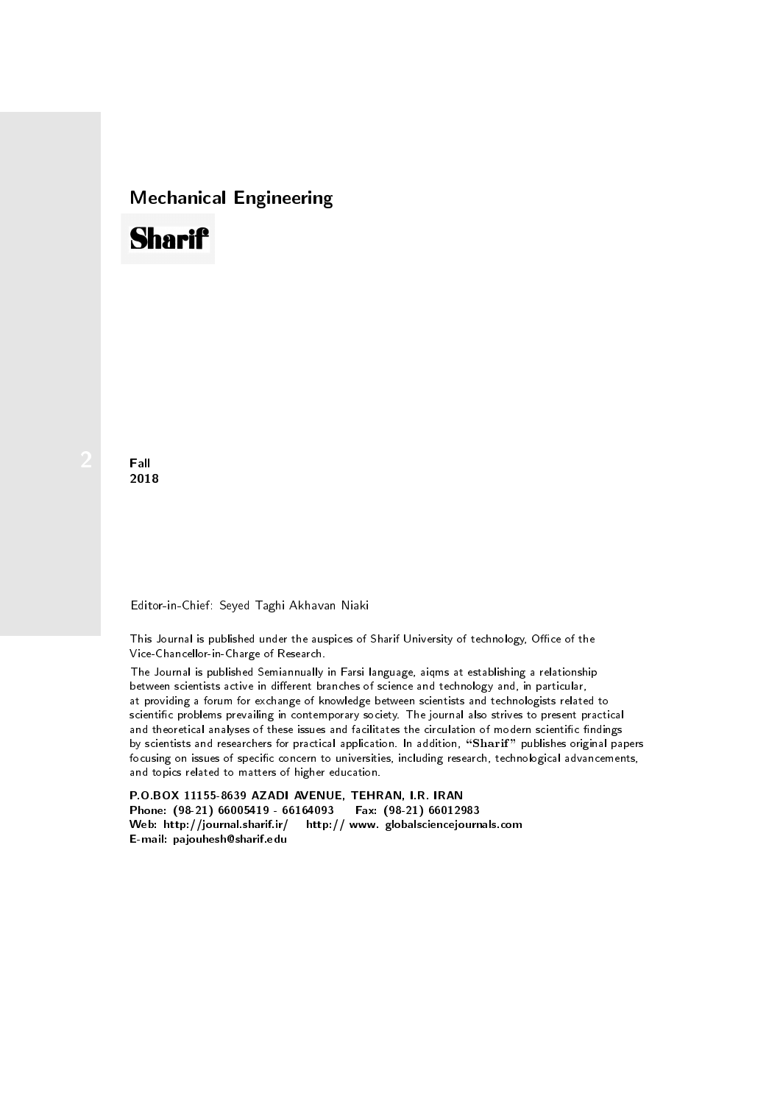## Mechanical Engineering

## **Sharif**

**Fall** 2018

## Editor-in-Chief: Seyed Taghi Akhavan Niaki

This Journal is published under the auspices of Sharif University of technology, Office of the Vice-Chancellor-in-Charge of Research.

between scientists active in different branches of science and technology and, in particular, at providing a forum for exchange of knowledge between scientists and technologists related to scientic problems prevailing in contemporary society. The journal also strives to present practical and theoretical analyses of these issues and facilitates the circulation of modern scientific findings by scientists and researchers for practical application. In addition, "Sharif" publishes original papers focusing on issues of specific concern to universities, including research, technological advancements, and topics related to matters of higher education. The Journal is published Semiannually in Farsi language, aiqms at establishing a relationship

P.O.BOX 11155-8639 AZADI AVENUE, TEHRAN, I.R. IRAN Phone: (98-21) 66005419 - 66164093 Fax: (98-21) 66012983 Web: http://journal.sharif.ir/ http:// www. globalsciencejournals.com E-mail: pajouhesh@sharif.edu